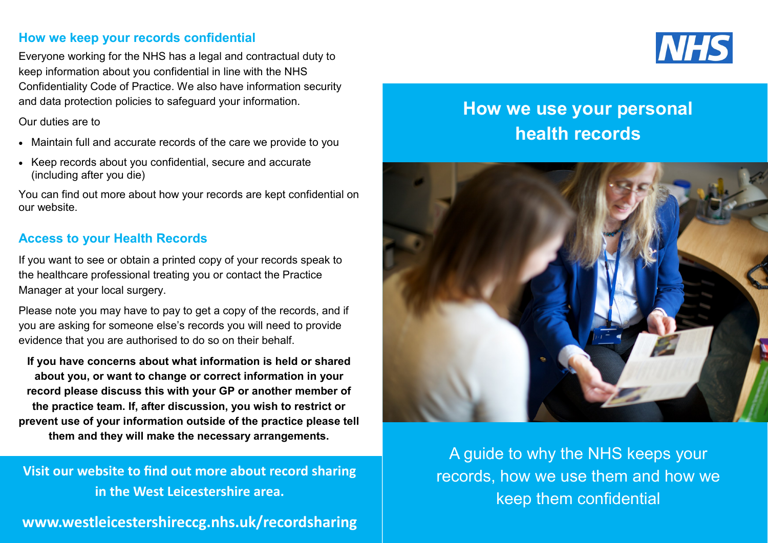### **How we keep your records confidential**

Everyone working for the NHS has a legal and contractual duty to keep information about you confidential in line with the NHS Confidentiality Code of Practice. We also have information security and data protection policies to safeguard your information.

#### Our duties are to

- Maintain full and accurate records of the care we provide to you
- Keep records about you confidential, secure and accurate (including after you die)

You can find out more about how your records are kept confidential on our website.

## **Access to your Health Records**

If you want to see or obtain a printed copy of your records speak to the healthcare professional treating you or contact the Practice Manager at your local surgery.

Please note you may have to pay to get a copy of the records, and if you are asking for someone else's records you will need to provide evidence that you are authorised to do so on their behalf.

**If you have concerns about what information is held or shared about you, or want to change or correct information in your record please discuss this with your GP or another member of the practice team. If, after discussion, you wish to restrict or prevent use of your information outside of the practice please tell them and they will make the necessary arrangements.** 

**Visit our website to find out more about record sharing in the West Leicestershire area.**

**www.westleicestershireccg.nhs.uk/recordsharing**



# **How we use your personal health records**



A guide to why the NHS keeps your records, how we use them and how we keep them confidential